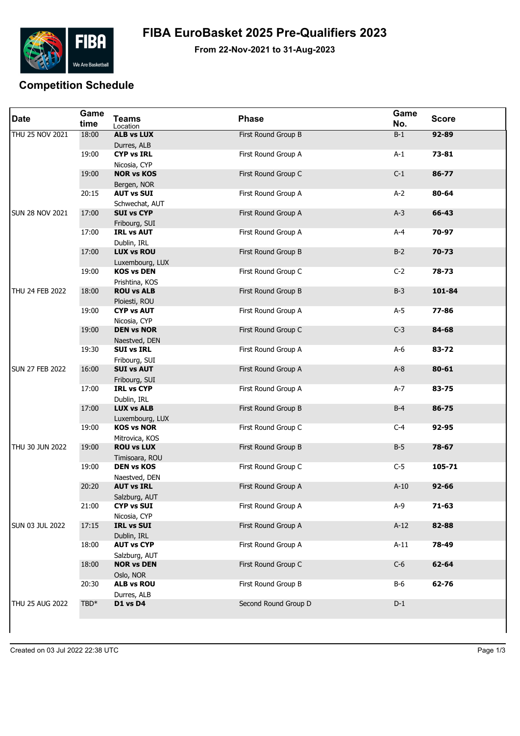

## **FIBA EuroBasket 2025 Pre-Qualifiers 2023**

**From 22-Nov-2021 to 31-Aug-2023**

## **Competition Schedule**

| <b>Date</b>            | Game<br>time | <b>Teams</b><br>Location             | <b>Phase</b>         | Game<br>No. | <b>Score</b> |
|------------------------|--------------|--------------------------------------|----------------------|-------------|--------------|
| THU 25 NOV 2021        | 18:00        | <b>ALB vs LUX</b><br>Durres, ALB     | First Round Group B  | $B-1$       | 92-89        |
|                        | 19:00        | <b>CYP vs IRL</b><br>Nicosia, CYP    | First Round Group A  | $A-1$       | 73-81        |
|                        | 19:00        | <b>NOR vs KOS</b><br>Bergen, NOR     | First Round Group C  | $C-1$       | 86-77        |
|                        | 20:15        | <b>AUT vs SUI</b><br>Schwechat, AUT  | First Round Group A  | $A-2$       | 80-64        |
| <b>SUN 28 NOV 2021</b> | 17:00        | <b>SUI vs CYP</b><br>Fribourg, SUI   | First Round Group A  | $A-3$       | 66-43        |
|                        | 17:00        | <b>IRL vs AUT</b><br>Dublin, IRL     | First Round Group A  | $A-4$       | 70-97        |
|                        | 17:00        | <b>LUX vs ROU</b><br>Luxembourg, LUX | First Round Group B  | $B-2$       | $70 - 73$    |
|                        | 19:00        | <b>KOS vs DEN</b><br>Prishtina, KOS  | First Round Group C  | $C-2$       | 78-73        |
| THU 24 FEB 2022        | 18:00        | <b>ROU vs ALB</b><br>Ploiesti, ROU   | First Round Group B  | $B-3$       | 101-84       |
|                        | 19:00        | <b>CYP vs AUT</b><br>Nicosia, CYP    | First Round Group A  | $A-5$       | 77-86        |
|                        | 19:00        | <b>DEN vs NOR</b><br>Naestved, DEN   | First Round Group C  | $C-3$       | 84-68        |
|                        | 19:30        | <b>SUI vs IRL</b><br>Fribourg, SUI   | First Round Group A  | $A-6$       | 83-72        |
| <b>SUN 27 FEB 2022</b> | 16:00        | <b>SUI vs AUT</b><br>Fribourg, SUI   | First Round Group A  | $A-8$       | $80 - 61$    |
|                        | 17:00        | <b>IRL vs CYP</b><br>Dublin, IRL     | First Round Group A  | $A-7$       | 83-75        |
|                        | 17:00        | <b>LUX vs ALB</b><br>Luxembourg, LUX | First Round Group B  | $B-4$       | 86-75        |
|                        | 19:00        | <b>KOS vs NOR</b><br>Mitrovica, KOS  | First Round Group C  | $C-4$       | 92-95        |
| THU 30 JUN 2022        | 19:00        | <b>ROU vs LUX</b><br>Timisoara, ROU  | First Round Group B  | $B-5$       | 78-67        |
|                        | 19:00        | <b>DEN vs KOS</b><br>Naestved, DEN   | First Round Group C  | $C-5$       | 105-71       |
|                        | 20:20        | <b>AUT vs IRL</b><br>Salzburg, AUT   | First Round Group A  | $A-10$      | $92 - 66$    |
|                        | 21:00        | <b>CYP vs SUI</b><br>Nicosia, CYP    | First Round Group A  | $A-9$       | $71 - 63$    |
| <b>SUN 03 JUL 2022</b> | 17:15        | <b>IRL vs SUI</b><br>Dublin, IRL     | First Round Group A  | $A-12$      | 82-88        |
|                        | 18:00        | <b>AUT vs CYP</b><br>Salzburg, AUT   | First Round Group A  | $A-11$      | 78-49        |
|                        | 18:00        | <b>NOR vs DEN</b><br>Oslo, NOR       | First Round Group C  | $C-6$       | $62 - 64$    |
|                        | 20:30        | <b>ALB vs ROU</b><br>Durres, ALB     | First Round Group B  | <b>B-6</b>  | 62-76        |
| THU 25 AUG 2022        | $TBD*$       | D1 vs D4                             | Second Round Group D | $D-1$       |              |
|                        |              |                                      |                      |             |              |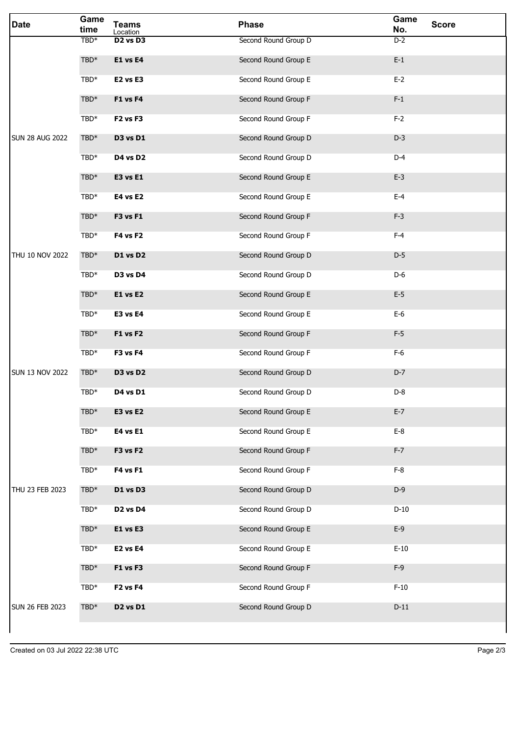| <b>Date</b>            | Game<br>time     | <b>Teams</b><br>Location         | <b>Phase</b>         | Game<br>No. | <b>Score</b> |
|------------------------|------------------|----------------------------------|----------------------|-------------|--------------|
|                        | TBD <sup>*</sup> | D <sub>2</sub> vs D <sub>3</sub> | Second Round Group D | $D-2$       |              |
|                        | $TBD*$           | <b>E1 vs E4</b>                  | Second Round Group E | $E-1$       |              |
|                        | $TBD*$           | E2 vs E3                         | Second Round Group E | $E-2$       |              |
|                        | TBD*             | <b>F1 vs F4</b>                  | Second Round Group F | $F-1$       |              |
|                        | $TBD*$           | F <sub>2</sub> vs F <sub>3</sub> | Second Round Group F | $F-2$       |              |
| <b>SUN 28 AUG 2022</b> | $TBD*$           | D3 vs D1                         | Second Round Group D | $D-3$       |              |
|                        | TBD*             | D4 vs D2                         | Second Round Group D | $D-4$       |              |
|                        | $TBD*$           | <b>E3 vs E1</b>                  | Second Round Group E | $E-3$       |              |
|                        | TBD*             | <b>E4 vs E2</b>                  | Second Round Group E | $E-4$       |              |
|                        | $TBD*$           | <b>F3 vs F1</b>                  | Second Round Group F | $F-3$       |              |
|                        | TBD*             | <b>F4 vs F2</b>                  | Second Round Group F | $F-4$       |              |
| THU 10 NOV 2022        | $TBD*$           | D1 vs D2                         | Second Round Group D | $D-5$       |              |
|                        | $TBD*$           | D3 vs D4                         | Second Round Group D | $D-6$       |              |
|                        | $TBD*$           | <b>E1 vs E2</b>                  | Second Round Group E | $E-5$       |              |
|                        | TBD*             | E3 vs E4                         | Second Round Group E | $E-6$       |              |
|                        | $TBD*$           | <b>F1 vs F2</b>                  | Second Round Group F | $F-5$       |              |
|                        | TBD*             | F3 vs F4                         | Second Round Group F | $F-6$       |              |
| <b>SUN 13 NOV 2022</b> | TBD*             | D3 vs D2                         | Second Round Group D | $D-7$       |              |
|                        | TBD*             | D4 vs D1                         | Second Round Group D | $D-8$       |              |
|                        | $TBD*$           | E3 vs E2                         | Second Round Group E | $E-7$       |              |
|                        | $TBD*$           | <b>E4 vs E1</b>                  | Second Round Group E | $E-8$       |              |
|                        | TBD*             | F3 vs F2                         | Second Round Group F | $F-7$       |              |
|                        | $TBD*$           | <b>F4 vs F1</b>                  | Second Round Group F | $F-8$       |              |
| THU 23 FEB 2023        | $TBD*$           | D1 vs D3                         | Second Round Group D | $D-9$       |              |
|                        | $TBD*$           | D <sub>2</sub> vs D <sub>4</sub> | Second Round Group D | $D-10$      |              |
|                        | $TBD*$           | E1 vs E3                         | Second Round Group E | $E-9$       |              |
|                        | $TBD*$           | E2 vs E4                         | Second Round Group E | $E-10$      |              |
|                        | $TBD*$           | F1 vs F3                         | Second Round Group F | $F-9$       |              |
|                        | $TBD*$           | F <sub>2</sub> vs F <sub>4</sub> | Second Round Group F | $F-10$      |              |
| <b>SUN 26 FEB 2023</b> | $TBD*$           | D <sub>2</sub> vs D <sub>1</sub> | Second Round Group D | $D-11$      |              |
|                        |                  |                                  |                      |             |              |